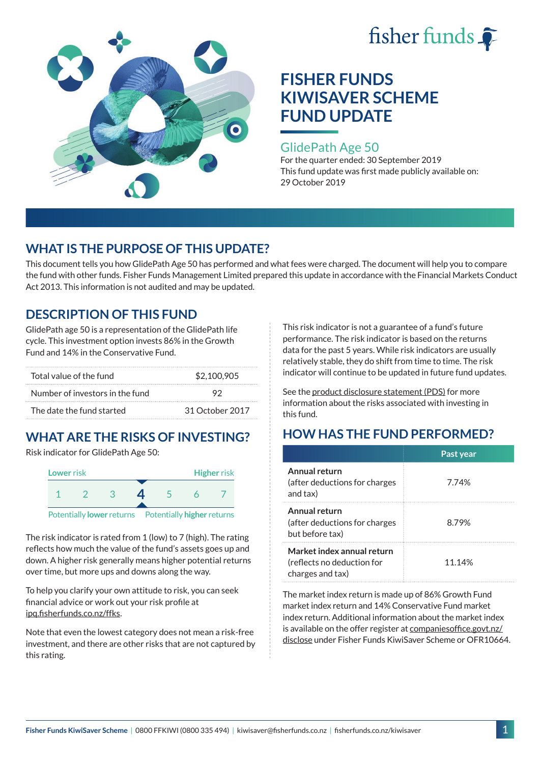



### GlidePath Age 50

For the quarter ended: 30 September 2019 This fund update was first made publicly available on: 29 October 2019

# **WHAT IS THE PURPOSE OF THIS UPDATE?**

This document tells you how GlidePath Age 50 has performed and what fees were charged. The document will help you to compare the fund with other funds. Fisher Funds Management Limited prepared this update in accordance with the Financial Markets Conduct Act 2013. This information is not audited and may be updated.

## **DESCRIPTION OF THIS FUND**

GlidePath age 50 is a representation of the GlidePath life cycle. This investment option invests 86% in the Growth Fund and 14% in the Conservative Fund.

| Total value of the fund         | \$2,100,905     |  |
|---------------------------------|-----------------|--|
| Number of investors in the fund | 92              |  |
| The date the fund started       | 31 October 2017 |  |

# **WHAT ARE THE RISKS OF INVESTING?**

Risk indicator for GlidePath Age 50:



The risk indicator is rated from 1 (low) to 7 (high). The rating reflects how much the value of the fund's assets goes up and down. A higher risk generally means higher potential returns over time, but more ups and downs along the way.

To help you clarify your own attitude to risk, you can seek financial advice or work out your risk profile at [ipq.fisherfunds.co.nz/ffks](https://ipq.fisherfunds.co.nz/ffks).

Note that even the lowest category does not mean a risk-free investment, and there are other risks that are not captured by this rating.

This risk indicator is not a guarantee of a fund's future performance. The risk indicator is based on the returns data for the past 5 years. While risk indicators are usually relatively stable, they do shift from time to time. The risk indicator will continue to be updated in future fund updates.

See the [product disclosure statement \(PDS\)](https://fisherfunds.co.nz/assets/PDS/Fisher-Funds-KiwiSaver-Scheme-PDS.pdf) for more information about the risks associated with investing in this fund.

# **HOW HAS THE FUND PERFORMED?**

|                                                                              | Past year |
|------------------------------------------------------------------------------|-----------|
| Annual return<br>(after deductions for charges<br>and tax)                   | 7.74%     |
| Annual return<br>(after deductions for charges<br>but before tax)            | 8.79%     |
| Market index annual return<br>(reflects no deduction for<br>charges and tax) | 11.14%    |

The market index return is made up of 86% Growth Fund market index return and 14% Conservative Fund market index return. Additional information about the market index is available on the offer register at [companiesoffice.govt.nz/](http://companiesoffice.govt.nz/disclose) [disclose](http://companiesoffice.govt.nz/disclose) under Fisher Funds KiwiSaver Scheme or OFR10664.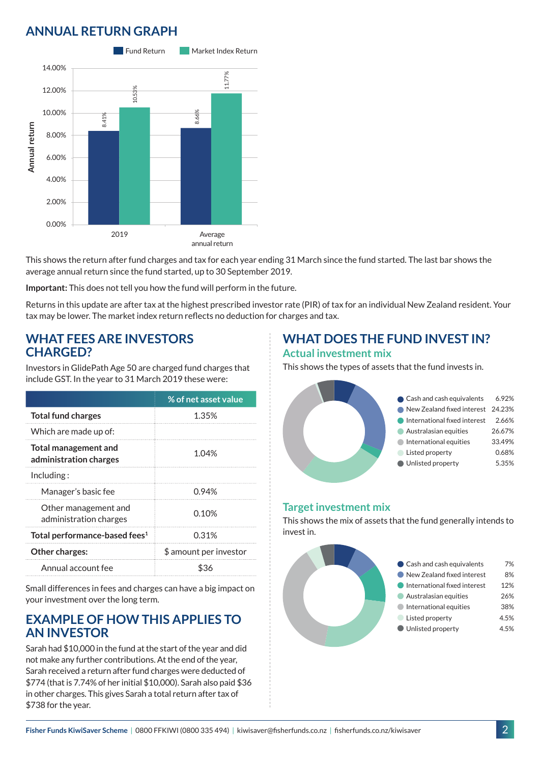# **ANNUAL RETURN GRAPH**



This shows the return after fund charges and tax for each year ending 31 March since the fund started. The last bar shows the average annual return since the fund started, up to 30 September 2019.

**Important:** This does not tell you how the fund will perform in the future.

Returns in this update are after tax at the highest prescribed investor rate (PIR) of tax for an individual New Zealand resident. Your tax may be lower. The market index return reflects no deduction for charges and tax.

#### **WHAT FEES ARE INVESTORS CHARGED?**

Investors in GlidePath Age 50 are charged fund charges that include GST. In the year to 31 March 2019 these were:

|                                                | % of net asset value   |  |
|------------------------------------------------|------------------------|--|
| <b>Total fund charges</b>                      | 1.35%                  |  |
| Which are made up of:                          |                        |  |
| Total management and<br>administration charges | 1.04%                  |  |
| Including:                                     |                        |  |
| Manager's basic fee                            | 0.94%                  |  |
| Other management and<br>administration charges | 0.10%                  |  |
| Total performance-based fees <sup>1</sup>      | 0.31%                  |  |
| Other charges:                                 | \$ amount per investor |  |
| Annual account fee                             | ፍ36                    |  |

Small differences in fees and charges can have a big impact on your investment over the long term.

### **EXAMPLE OF HOW THIS APPLIES TO AN INVESTOR**

Sarah had \$10,000 in the fund at the start of the year and did not make any further contributions. At the end of the year, Sarah received a return after fund charges were deducted of \$774 (that is 7.74% of her initial \$10,000). Sarah also paid \$36 in other charges. This gives Sarah a total return after tax of \$738 for the year.

### **WHAT DOES THE FUND INVEST IN? Actual investment mix**

This shows the types of assets that the fund invests in.



#### **Target investment mix**

This shows the mix of assets that the fund generally intends to invest in.